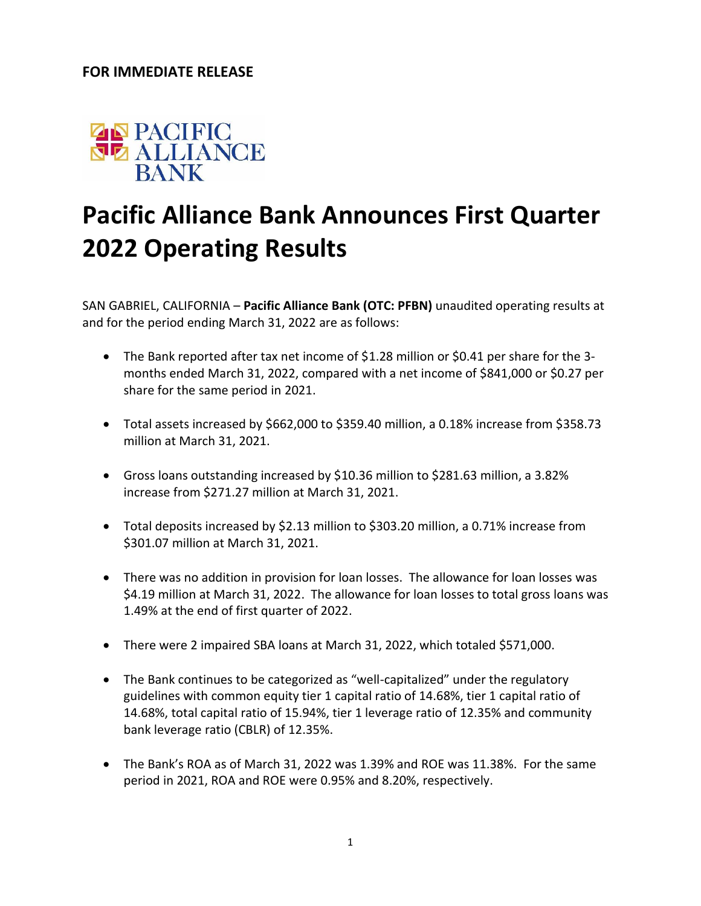## **FOR IMMEDIATE RELEASE**



## **Pacific Alliance Bank Announces First Quarter 2022 Operating Results**

SAN GABRIEL, CALIFORNIA – **Pacific Alliance Bank (OTC: PFBN)** unaudited operating results at and for the period ending March 31, 2022 are as follows:

- The Bank reported after tax net income of \$1.28 million or \$0.41 per share for the 3 months ended March 31, 2022, compared with a net income of \$841,000 or \$0.27 per share for the same period in 2021.
- Total assets increased by \$662,000 to \$359.40 million, a 0.18% increase from \$358.73 million at March 31, 2021.
- Gross loans outstanding increased by \$10.36 million to \$281.63 million, a 3.82% increase from \$271.27 million at March 31, 2021.
- Total deposits increased by \$2.13 million to \$303.20 million, a 0.71% increase from \$301.07 million at March 31, 2021.
- There was no addition in provision for loan losses. The allowance for loan losses was \$4.19 million at March 31, 2022. The allowance for loan losses to total gross loans was 1.49% at the end of first quarter of 2022.
- There were 2 impaired SBA loans at March 31, 2022, which totaled \$571,000.
- The Bank continues to be categorized as "well-capitalized" under the regulatory guidelines with common equity tier 1 capital ratio of 14.68%, tier 1 capital ratio of 14.68%, total capital ratio of 15.94%, tier 1 leverage ratio of 12.35% and community bank leverage ratio (CBLR) of 12.35%.
- The Bank's ROA as of March 31, 2022 was 1.39% and ROE was 11.38%. For the same period in 2021, ROA and ROE were 0.95% and 8.20%, respectively.